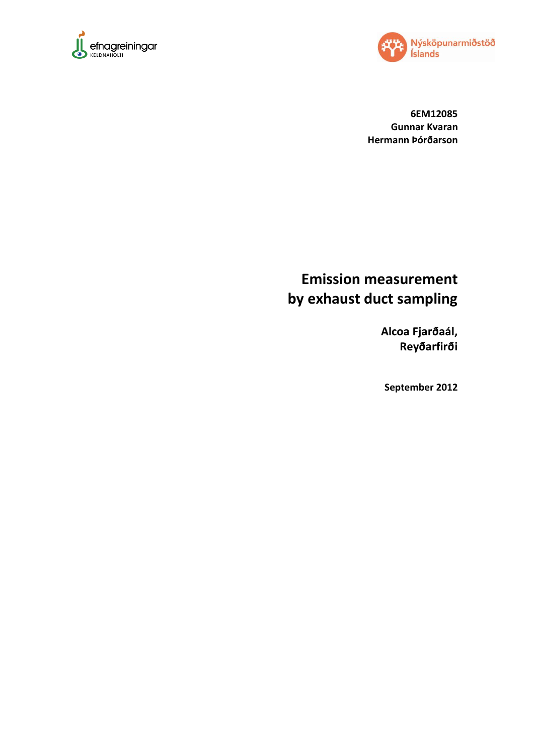



**6EM12085 Gunnar Kvaran Hermann Þórðarson**

# **Emission measurement by exhaust duct sampling**

**Alcoa Fjarðaál, Reyðarfirði**

**September 2012**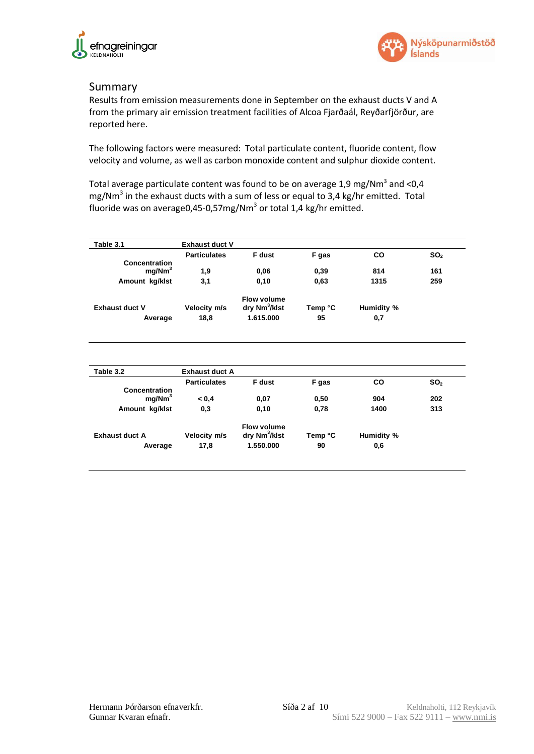



#### Summary

Results from emission measurements done in September on the exhaust ducts V and A from the primary air emission treatment facilities of Alcoa Fjarðaál, Reyðarfjörður, are reported here.

The following factors were measured: Total particulate content, fluoride content, flow velocity and volume, as well as carbon monoxide content and sulphur dioxide content.

Total average particulate content was found to be on average 1,9 mg/Nm<sup>3</sup> and <0,4 mg/Nm<sup>3</sup> in the exhaust ducts with a sum of less or equal to 3,4 kg/hr emitted. Total fluoride was on average0,45-0,57mg/Nm<sup>3</sup> or total 1,4 kg/hr emitted.

<span id="page-1-0"></span>

| Table 3.1                           | <b>Exhaust duct V</b> |                           |         |            |                 |
|-------------------------------------|-----------------------|---------------------------|---------|------------|-----------------|
|                                     | <b>Particulates</b>   | F dust                    | F gas   | CO         | SO <sub>2</sub> |
| Concentration<br>mg/Nm <sup>3</sup> | 1,9                   | 0,06                      | 0,39    | 814        | 161             |
| Amount kg/klst                      | 3,1                   | 0,10                      | 0,63    | 1315       | 259             |
|                                     |                       |                           |         |            |                 |
|                                     |                       | <b>Flow volume</b>        |         |            |                 |
| <b>Exhaust duct V</b>               | Velocity m/s          | dry Nm <sup>3</sup> /klst | Temp °C | Humidity % |                 |
| Average                             | 18,8                  | 1.615.000                 | 95      | 0,7        |                 |
|                                     |                       |                           |         |            |                 |
|                                     |                       |                           |         |            |                 |
|                                     |                       |                           |         |            |                 |
|                                     |                       |                           |         |            |                 |
| Table 3.2                           | <b>Exhaust duct A</b> |                           |         |            |                 |
|                                     | <b>Particulates</b>   | F dust                    | F gas   | <b>CO</b>  | SO <sub>2</sub> |
| Concentration                       |                       |                           |         |            |                 |
| mg/Nm <sup>3</sup>                  | 0.4                   | 0,07                      | 0,50    | 904        | 202             |
| Amount kg/klst                      | 0,3                   | 0,10                      | 0,78    | 1400       | 313             |
|                                     |                       | <b>Flow volume</b>        |         |            |                 |
| <b>Exhaust duct A</b>               | Velocity m/s          | dry Nm <sup>3</sup> /klst | Temp °C | Humidity % |                 |
| Average                             | 17,8                  | 1.550.000                 | 90      | 0,6        |                 |
|                                     |                       |                           |         |            |                 |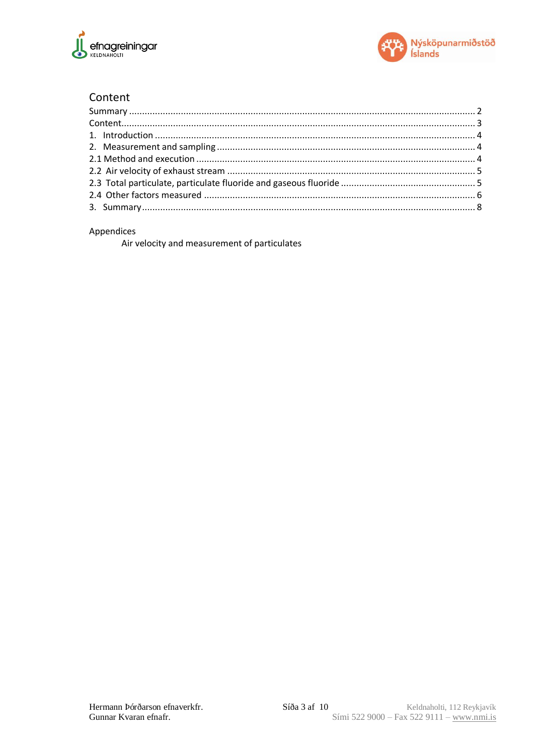



## Content

#### Appendices

<span id="page-2-0"></span>Air velocity and measurement of particulates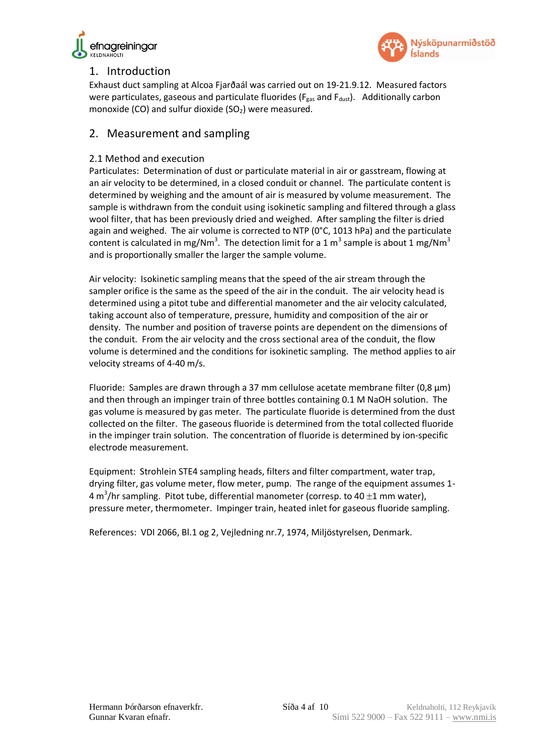



## 1. Introduction

Exhaust duct sampling at Alcoa Fjarðaál was carried out on 19-21.9.12. Measured factors were particulates, gaseous and particulate fluorides ( $F_{gas}$  and  $F_{dust}$ ). Additionally carbon monoxide (CO) and sulfur dioxide  $(SO<sub>2</sub>)$  were measured.

### <span id="page-3-0"></span>2. Measurement and sampling

#### <span id="page-3-1"></span>2.1 Method and execution

Particulates: Determination of dust or particulate material in air or gasstream, flowing at an air velocity to be determined, in a closed conduit or channel. The particulate content is determined by weighing and the amount of air is measured by volume measurement. The sample is withdrawn from the conduit using isokinetic sampling and filtered through a glass wool filter, that has been previously dried and weighed. After sampling the filter is dried again and weighed. The air volume is corrected to NTP ( $0^{\circ}$ C, 1013 hPa) and the particulate content is calculated in mg/Nm<sup>3</sup>. The detection limit for a 1 m<sup>3</sup> sample is about 1 mg/Nm<sup>3</sup> and is proportionally smaller the larger the sample volume.

Air velocity: Isokinetic sampling means that the speed of the air stream through the sampler orifice is the same as the speed of the air in the conduit. The air velocity head is determined using a pitot tube and differential manometer and the air velocity calculated, taking account also of temperature, pressure, humidity and composition of the air or density. The number and position of traverse points are dependent on the dimensions of the conduit. From the air velocity and the cross sectional area of the conduit, the flow volume is determined and the conditions for isokinetic sampling. The method applies to air velocity streams of 4-40 m/s.

Fluoride: Samples are drawn through a 37 mm cellulose acetate membrane filter (0,8  $\mu$ m) and then through an impinger train of three bottles containing 0.1 M NaOH solution. The gas volume is measured by gas meter. The particulate fluoride is determined from the dust collected on the filter. The gaseous fluoride is determined from the total collected fluoride in the impinger train solution. The concentration of fluoride is determined by ion-specific electrode measurement.

Equipment: Strohlein STE4 sampling heads, filters and filter compartment, water trap, drying filter, gas volume meter, flow meter, pump. The range of the equipment assumes 1- 4 m<sup>3</sup>/hr sampling. Pitot tube, differential manometer (corresp. to 40  $\pm$ 1 mm water), pressure meter, thermometer. Impinger train, heated inlet for gaseous fluoride sampling.

<span id="page-3-2"></span>References: VDI 2066, Bl.1 og 2, Vejledning nr.7, 1974, Miljöstyrelsen, Denmark.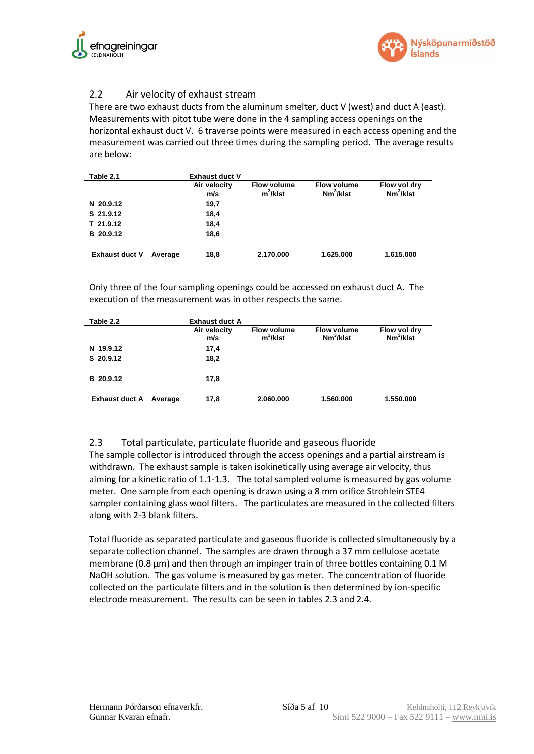



#### 2.2 Air velocity of exhaust stream

There are two exhaust ducts from the aluminum smelter, duct V (west) and duct A (east). Measurements with pitot tube were done in the 4 sampling access openings on the horizontal exhaust duct V. 6 traverse points were measured in each access opening and the measurement was carried out three times during the sampling period. The average results are below:

| Table 2.1             | <b>Exhaust duct V</b> |                                   |                                    |                              |
|-----------------------|-----------------------|-----------------------------------|------------------------------------|------------------------------|
|                       | Air velocity<br>m/s   | <b>Flow volume</b><br>$m^3/k$ lst | <b>Flow volume</b><br>$Nm^3/kI$ st | Flow vol dry<br>$Nm^3/kI$ st |
| N 20.9.12             | 19,7                  |                                   |                                    |                              |
| S 21.9.12             | 18,4                  |                                   |                                    |                              |
| T 21.9.12             | 18,4                  |                                   |                                    |                              |
| B 20.9.12             | 18,6                  |                                   |                                    |                              |
| <b>Exhaust duct V</b> | 18,8<br>Average       | 2.170.000                         | 1.625.000                          | 1.615.000                    |

Only three of the four sampling openings could be accessed on exhaust duct A. The execution of the measurement was in other respects the same.

| Table 2.2             | <b>Exhaust duct A</b> |                                   |                                    |                              |
|-----------------------|-----------------------|-----------------------------------|------------------------------------|------------------------------|
|                       | Air velocity<br>m/s   | <b>Flow volume</b><br>$m^3/k$ lst | <b>Flow volume</b><br>$Nm^3/kI$ st | Flow vol dry<br>$Nm^3/kI$ st |
| N 19.9.12             | 17,4                  |                                   |                                    |                              |
| S 20.9.12             | 18,2                  |                                   |                                    |                              |
| B 20.9.12             | 17,8                  |                                   |                                    |                              |
| <b>Exhaust duct A</b> | 17,8<br>Average       | 2.060.000                         | 1.560.000                          | 1.550.000                    |

#### <span id="page-4-0"></span>2.3 Total particulate, particulate fluoride and gaseous fluoride

The sample collector is introduced through the access openings and a partial airstream is withdrawn. The exhaust sample is taken isokinetically using average air velocity, thus aiming for a kinetic ratio of 1.1-1.3. The total sampled volume is measured by gas volume meter. One sample from each opening is drawn using a 8 mm orifice Strohlein STE4 sampler containing glass wool filters. The particulates are measured in the collected filters along with 2-3 blank filters.

Total fluoride as separated particulate and gaseous fluoride is collected simultaneously by a separate collection channel. The samples are drawn through a 37 mm cellulose acetate membrane (0.8  $\mu$ m) and then through an impinger train of three bottles containing 0.1 M NaOH solution. The gas volume is measured by gas meter. The concentration of fluoride collected on the particulate filters and in the solution is then determined by ion-specific electrode measurement. The results can be seen in tables 2.3 and 2.4.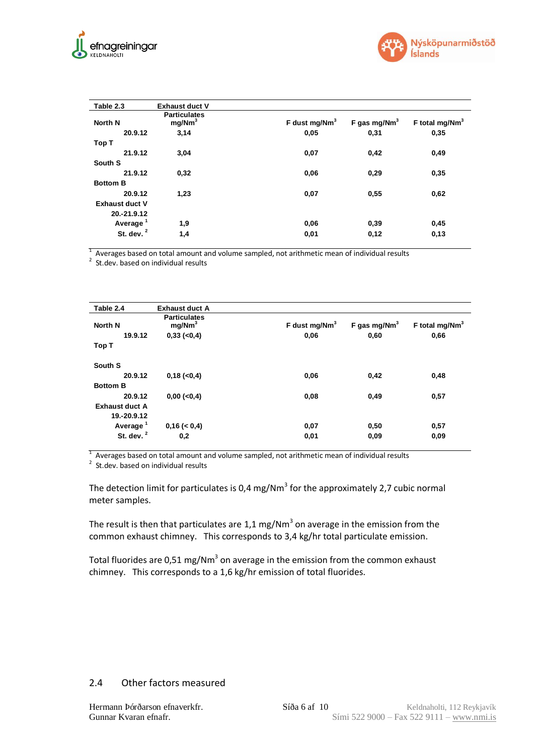



| Table 2.3             | <b>Exhaust duct V</b>                     |                  |                 |                            |
|-----------------------|-------------------------------------------|------------------|-----------------|----------------------------|
| North N               | <b>Particulates</b><br>mg/Nm <sup>3</sup> | F dust mg/Nm $3$ | F gas mg/Nm $3$ | F total mg/Nm <sup>3</sup> |
| 20.9.12               | 3,14                                      | 0,05             | 0,31            | 0,35                       |
| Top T                 |                                           |                  |                 |                            |
| 21.9.12               | 3,04                                      | 0,07             | 0,42            | 0,49                       |
| South S               |                                           |                  |                 |                            |
| 21.9.12               | 0,32                                      | 0,06             | 0,29            | 0,35                       |
| <b>Bottom B</b>       |                                           |                  |                 |                            |
| 20.9.12               | 1,23                                      | 0,07             | 0,55            | 0,62                       |
| <b>Exhaust duct V</b> |                                           |                  |                 |                            |
| 20.-21.9.12           |                                           |                  |                 |                            |
| Average <sup>1</sup>  | 1,9                                       | 0,06             | 0,39            | 0,45                       |
| St. dev. <sup>2</sup> | 1,4                                       | 0,01             | 0,12            | 0,13                       |

 $1$  Averages based on total amount and volume sampled, not arithmetic mean of individual results

<sup>2</sup> St.dev. based on individual results

| Table 2.4             | <b>Exhaust duct A</b>                     |                           |                 |                            |
|-----------------------|-------------------------------------------|---------------------------|-----------------|----------------------------|
| North N               | <b>Particulates</b><br>mg/Nm <sup>3</sup> | F dust mg/Nm <sup>3</sup> | F gas mg/Nm $3$ | F total mg/Nm <sup>3</sup> |
| 19.9.12               | $0,33 (-0,4)$                             | 0,06                      | 0,60            | 0,66                       |
| Top T                 |                                           |                           |                 |                            |
| South S               |                                           |                           |                 |                            |
| 20.9.12               | $0,18$ ( $< 0,4$ )                        | 0,06                      | 0,42            | 0,48                       |
| <b>Bottom B</b>       |                                           |                           |                 |                            |
| 20.9.12               | $0,00 (-0,4)$                             | 0,08                      | 0,49            | 0,57                       |
| <b>Exhaust duct A</b> |                                           |                           |                 |                            |
| 19.-20.9.12           |                                           |                           |                 |                            |
| Average <sup>1</sup>  | 0,16 (< 0,4)                              | 0,07                      | 0,50            | 0,57                       |
| St. dev. $2$          | 0,2                                       | 0,01                      | 0,09            | 0,09                       |

 $1$  Averages based on total amount and volume sampled, not arithmetic mean of individual results

<sup>2</sup> St.dev. based on individual results

The detection limit for particulates is 0,4 mg/Nm<sup>3</sup> for the approximately 2,7 cubic normal meter samples.

<span id="page-5-0"></span>The result is then that particulates are 1,1 mg/Nm<sup>3</sup> on average in the emission from the common exhaust chimney. This corresponds to 3,4 kg/hr total particulate emission.

Total fluorides are 0,51 mg/Nm<sup>3</sup> on average in the emission from the common exhaust chimney. This corresponds to a 1,6 kg/hr emission of total fluorides.

#### 2.4 Other factors measured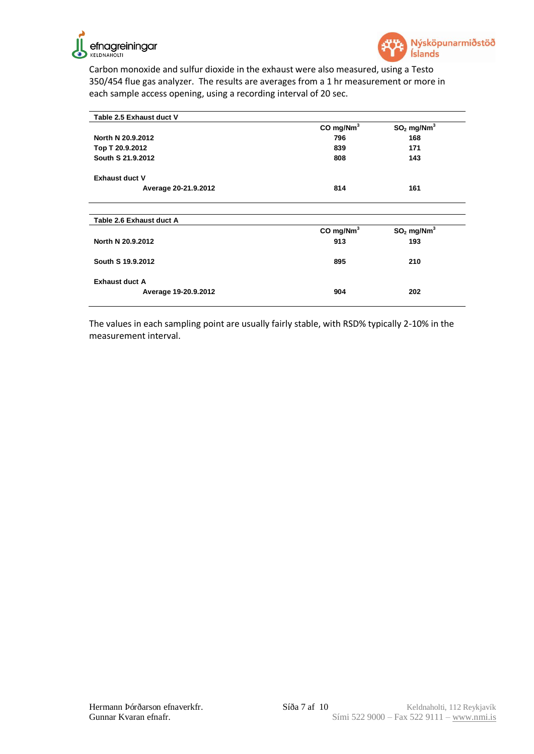



Carbon monoxide and sulfur dioxide in the exhaust were also measured, using a Testo 350/454 flue gas analyzer. The results are averages from a 1 hr measurement or more in each sample access opening, using a recording interval of 20 sec.

| Table 2.5 Exhaust duct V |                         |                          |  |
|--------------------------|-------------------------|--------------------------|--|
|                          | CO mg/Nm <sup>3</sup>   | $SO2$ mg/Nm <sup>3</sup> |  |
| North N 20.9.2012        | 796                     | 168                      |  |
| Top T 20.9.2012          | 839                     | 171                      |  |
| South S 21.9.2012        | 808                     | 143                      |  |
| <b>Exhaust duct V</b>    |                         |                          |  |
| Average 20-21.9.2012     | 814                     | 161                      |  |
|                          |                         |                          |  |
| Table 2.6 Exhaust duct A |                         |                          |  |
|                          | $CO$ mg/Nm <sup>3</sup> | $SO2$ mg/Nm <sup>3</sup> |  |
| North N 20.9.2012        | 913                     | 193                      |  |
| South S 19.9.2012        | 895                     | 210                      |  |
| <b>Exhaust duct A</b>    |                         |                          |  |
| Average 19-20.9.2012     | 904                     | 202                      |  |

<span id="page-6-0"></span>The values in each sampling point are usually fairly stable, with RSD% typically 2-10% in the measurement interval.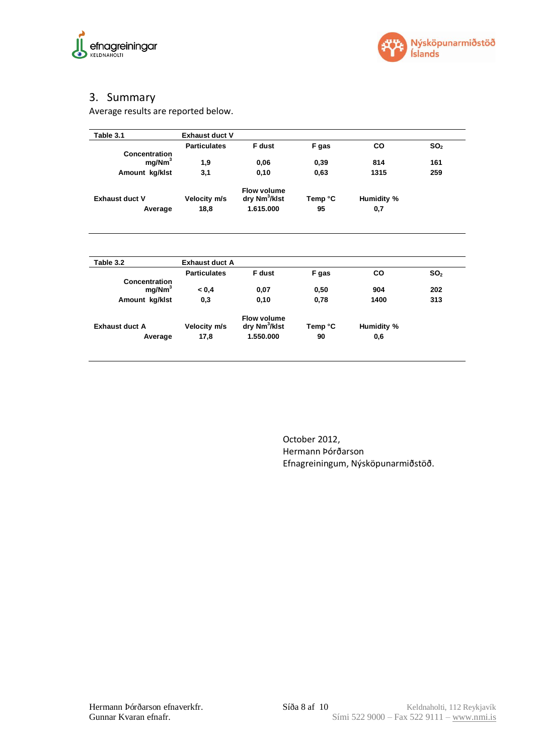



# 3. Summary

Average results are reported below.

| Table 3.1                                                    | <b>Exhaust duct V</b> |                                                 |                       |             |                 |
|--------------------------------------------------------------|-----------------------|-------------------------------------------------|-----------------------|-------------|-----------------|
|                                                              | <b>Particulates</b>   | F dust                                          | F gas                 | <b>CO</b>   | SO <sub>2</sub> |
| <b>Concentration</b><br>mq/Mm <sup>3</sup>                   | 1,9                   | 0,06                                            | 0,39                  | 814         | 161             |
| Amount kg/klst                                               | 3,1                   | 0,10                                            | 0,63                  | 1315        | 259             |
| <b>Exhaust duct V</b>                                        | Velocity m/s          | Flow volume<br>dry Nm <sup>3</sup> /klst        | Temp °C<br>Humidity % |             |                 |
| Average                                                      | 18,8                  | 1.615.000                                       | 95                    | 0,7         |                 |
| Table 3.2                                                    | <b>Exhaust duct A</b> |                                                 |                       |             |                 |
|                                                              | <b>Particulates</b>   | <b>F</b> dust                                   | F gas                 | <b>CO</b>   | SO <sub>2</sub> |
| <b>Concentration</b><br>mg/Nm <sup>3</sup><br>Amount kg/klst | 0.4<br>0,3            | 0,07<br>0,10                                    | 0,50<br>0,78          | 904<br>1400 | 202<br>313      |
|                                                              |                       |                                                 |                       |             |                 |
| <b>Exhaust duct A</b>                                        | Velocity m/s          | <b>Flow volume</b><br>dry Nm <sup>3</sup> /klst | Temp °C               | Humidity %  |                 |
| Average                                                      | 17,8                  | 1.550.000                                       | 90                    | 0,6         |                 |

October 2012, Hermann Þórðarson Efnagreiningum, Nýsköpunarmiðstöð.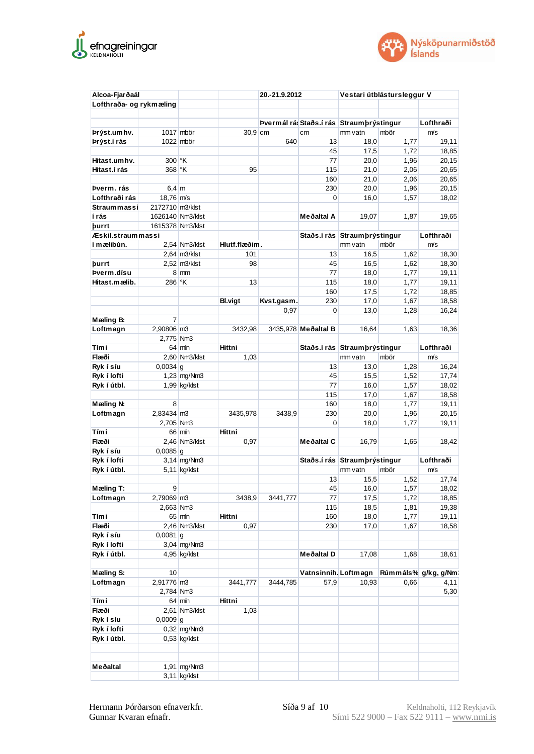



| Alcoa-Fjarðaál          |                       |                    |                | 20.-21.9.2012 |                                          |                               | Vestari útblástursleggur V |                     |
|-------------------------|-----------------------|--------------------|----------------|---------------|------------------------------------------|-------------------------------|----------------------------|---------------------|
| Lofthraða- og rykmæling |                       |                    |                |               |                                          |                               |                            |                     |
|                         |                       |                    |                |               |                                          |                               |                            |                     |
|                         |                       |                    |                |               | Þvermál rá: Staðs í rás Straumbrýstingur |                               |                            | Lofthraði           |
| Þrýst.um hv.            |                       | 1017 mbör          | $30.9$ cm      |               | cm                                       | mm vatn                       | mbör                       | m/s                 |
| Þrýst.í rás             |                       | 1022 mbör          |                | 640           | 13                                       | 18,0                          | 1,77                       | 19,11               |
|                         |                       |                    |                |               | 45                                       | 17,5                          | 1,72                       | 18,85               |
| Hitast.umhv.            | 300 °K                |                    |                |               | 77                                       | 20,0                          | 1,96                       | 20,15               |
| Hitast í rás            | 368 °K                |                    | 95             |               | 115                                      | 21,0                          | 2,06                       | 20,65               |
|                         |                       |                    |                |               | 160                                      | 21,0                          | 2,06                       | 20,65               |
| Þverm. rás              | $6,4 \mid m$          |                    |                |               | 230                                      | 20,0                          | 1,96                       | 20,15               |
| Lofthraði rás           | $18.76$ m/s           |                    |                |               | $\Omega$                                 | 16,0                          | 1,57                       | 18,02               |
| Straummassi             | 2172710 m3/klst       |                    |                |               |                                          |                               |                            |                     |
| í rás                   |                       | 1626140 Nm3/klst   |                |               | Meðaltal A                               | 19,07                         | 1,87                       | 19,65               |
| <b>burrt</b>            |                       | 1615378 Nm3/klst   |                |               |                                          |                               |                            |                     |
|                         |                       |                    |                |               |                                          |                               |                            |                     |
| Æskil.straummassi       |                       |                    |                |               |                                          | Staðs.í rás Straum þrýstingur |                            | Lofthraði           |
| í mælibún.              |                       | 2,54 Nm3/klst      | Hlutf.flæðim.  |               |                                          | mm vatn                       | mbör                       | m/s                 |
|                         |                       | $2,64$ m $3$ /klst | 101            |               | 13                                       | 16,5                          | 1,62                       | 18,30               |
| þurrt                   |                       | 2,52 m3/klst       | 98             |               | 45                                       | 16,5                          | 1,62                       | 18,30               |
| Þverm.dísu              |                       | $8 \, \text{mm}$   |                |               | 77                                       | 18,0                          | 1,77                       | 19,11               |
| Hitast.mælib.           | 286 °K                |                    | 13             |               | 115                                      | 18,0                          | 1,77                       | 19,11               |
|                         |                       |                    |                |               | 160                                      | 17,5                          | 1,72                       | 18,85               |
|                         |                       |                    | <b>Bl.vigt</b> | Kvst.gasm.    | 230                                      | 17,0                          | 1,67                       | 18,58               |
|                         |                       |                    |                | 0,97          | $\Omega$                                 | 13,0                          | 1,28                       | 16,24               |
| Mæling B:               | 7                     |                    |                |               |                                          |                               |                            |                     |
| Loftmagn                | 2,90806 m3            |                    | 3432,98        |               | 3435,978 Meðaltal B                      | 16,64                         | 1,63                       | 18,36               |
|                         | 2,775 Nm3             |                    |                |               |                                          |                               |                            |                     |
| Tími                    |                       | 64 mín             | Hittni         |               |                                          | Staðs.í rás Straum þrýstingur |                            | Lofthraði           |
| Flæði                   |                       | 2,60 Nm3/klst      | 1,03           |               |                                          |                               | mbör                       | m/s                 |
|                         |                       |                    |                |               |                                          | mm vatn                       |                            |                     |
| Ryk í síu               | $0,0034$ g            |                    |                |               | 13                                       | 13,0                          | 1,28                       | 16,24               |
| Ryk í lofti             |                       | $1,23$ mg/Nm3      |                |               | 45                                       | 15,5                          | 1,52                       | 17,74               |
| Ryk í útbl.             |                       | $1,99$ kg/klst     |                |               | 77                                       | 16,0                          | 1,57                       | 18,02               |
|                         |                       |                    |                |               | 115                                      | 17,0                          | 1,67                       | 18,58               |
| Mæling N:               | 8                     |                    |                |               | 160                                      | 18,0                          | 1,77                       | 19,11               |
| Loftmagn                | 2,83434 m3            |                    | 3435,978       | 3438,9        | 230                                      | 20,0                          | 1,96                       | 20,15               |
|                         | 2,705 Nm3             |                    |                |               | 0                                        | 18,0                          | 1,77                       | 19,11               |
| Tími                    |                       | 66 mín             | Hittni         |               |                                          |                               |                            |                     |
| Flæði                   |                       | 2,46 Nm3/klst      | 0,97           |               | Meðaltal C                               | 16,79                         | 1,65                       | 18,42               |
| Ryk í síu               | $0,0085$ <sup>g</sup> |                    |                |               |                                          |                               |                            |                     |
| Ryk í lofti             |                       | $3,14$ mg/Nm3      |                |               |                                          | Staðs.í rás Straum þrýstingur |                            | Lofthraði           |
| Ryk í útbl.             |                       | $5,11$ kg/klst     |                |               |                                          | mm vatn                       | mbör                       | m/s                 |
|                         |                       |                    |                |               | 13                                       | 15,5                          | 1,52                       | 17,74               |
| Mæling T:               | 9                     |                    |                |               | 45                                       | 16,0                          | 1,57                       | 18,02               |
|                         |                       |                    | 3438,9         |               |                                          |                               |                            |                     |
| Loftmagn                | 2,79069 m3            |                    |                | 3441,777      | 77                                       | 17,5                          | 1,72                       | 18,85               |
|                         | 2,663 Nm3             |                    |                |               | 115                                      | 18,5                          | 1,81                       | 19,38               |
| Tími                    |                       | $65 \,$ mín        | Hittni         |               | 160                                      | 18,0                          | 1,77                       | 19,11               |
| Flæði                   |                       | 2,46 Nm3/klst      | 0,97           |               | 230                                      | 17,0                          | 1,67                       | 18,58               |
| Ryk í síu               | $0,0081$ g            |                    |                |               |                                          |                               |                            |                     |
| Ryk í lofti             |                       | 3,04 mg/Nm3        |                |               |                                          |                               |                            |                     |
| Ryk í útbl.             |                       | $4,95$ kg/klst     |                |               | Meðaltal D                               | 17,08                         | 1,68                       | 18,61               |
|                         |                       |                    |                |               |                                          |                               |                            |                     |
| Mæling S:               | 10                    |                    |                |               | Vatnsinnih. Loftmagn                     |                               |                            | Rúmmáls% g/kg, g/Nm |
| Loftmagn                | 2,91776 m3            |                    | 3441,777       | 3444,785      | 57,9                                     | 10,93                         | 0,66                       | 4,11                |
|                         | 2,784 Nm3             |                    |                |               |                                          |                               |                            | 5,30                |
| Tími                    |                       | $64 \text{ min}$   | Hittni         |               |                                          |                               |                            |                     |
| Flæði                   |                       | 2,61 Nm3/klst      | 1,03           |               |                                          |                               |                            |                     |
| Ryk í síu               | $0,0009$ g            |                    |                |               |                                          |                               |                            |                     |
|                         |                       |                    |                |               |                                          |                               |                            |                     |
| Ryk í lofti             |                       | 0,32 mg/Nm3        |                |               |                                          |                               |                            |                     |
| Ryk í útbl.             |                       | $0,53$ kg/klst     |                |               |                                          |                               |                            |                     |
|                         |                       |                    |                |               |                                          |                               |                            |                     |
|                         |                       |                    |                |               |                                          |                               |                            |                     |
| Meðaltal                |                       | $1,91$ mg/Nm3      |                |               |                                          |                               |                            |                     |
|                         |                       | $3,11$ kg/klst     |                |               |                                          |                               |                            |                     |